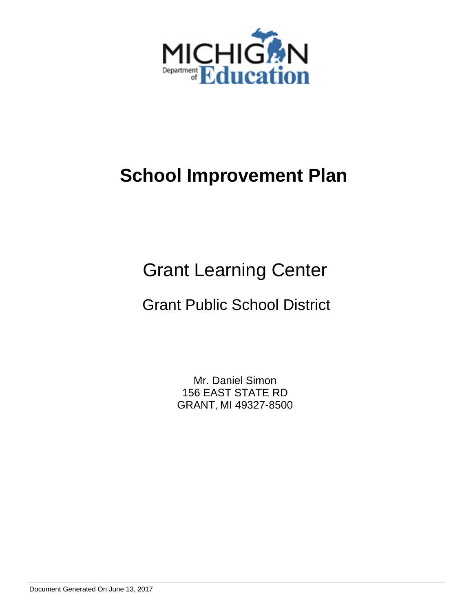

# **School Improvement Plan**

# Grant Learning Center

## Grant Public School District

Mr. Daniel Simon 156 EAST STATE RD GRANT, MI 49327-8500

Document Generated On June 13, 2017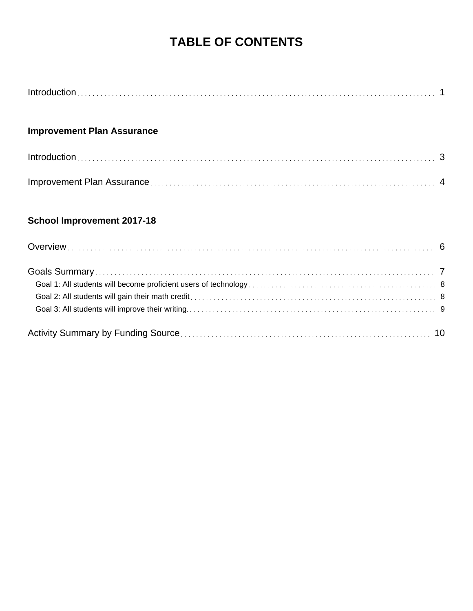## **TABLE OF CONTENTS**

### **Improvement Plan Assurance**

### **School Improvement 2017-18**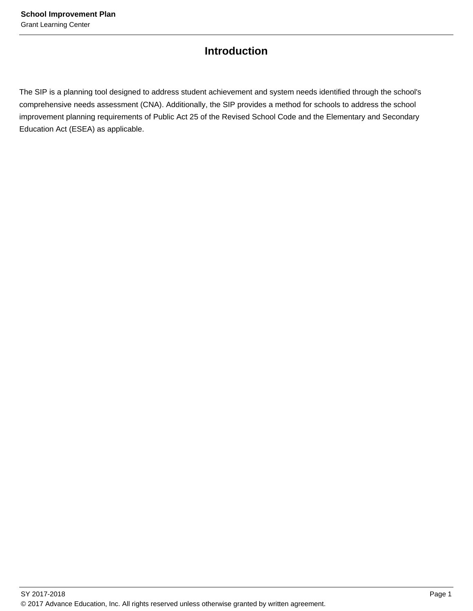### **Introduction**

The SIP is a planning tool designed to address student achievement and system needs identified through the school's comprehensive needs assessment (CNA). Additionally, the SIP provides a method for schools to address the school improvement planning requirements of Public Act 25 of the Revised School Code and the Elementary and Secondary Education Act (ESEA) as applicable.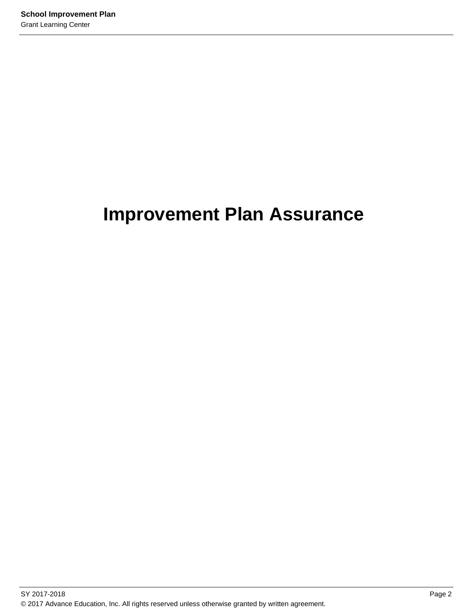## **Improvement Plan Assurance**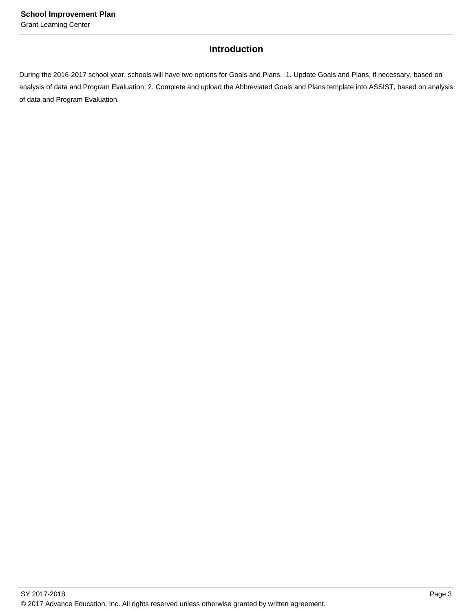### **Introduction**

During the 2016-2017 school year, schools will have two options for Goals and Plans. 1. Update Goals and Plans, if necessary, based on analysis of data and Program Evaluation; 2. Complete and upload the Abbreviated Goals and Plans template into ASSIST, based on analysis of data and Program Evaluation.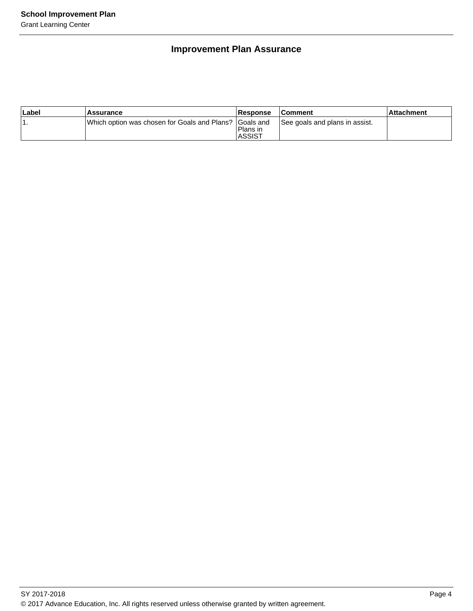### **Improvement Plan Assurance**

| ∣Label | <b>Assurance</b>                                        | Response                  | <b>Comment</b>                 | ⊺Attachment |
|--------|---------------------------------------------------------|---------------------------|--------------------------------|-------------|
|        | Which option was chosen for Goals and Plans? IGoals and | Plans in<br><b>ASSIST</b> | See goals and plans in assist. |             |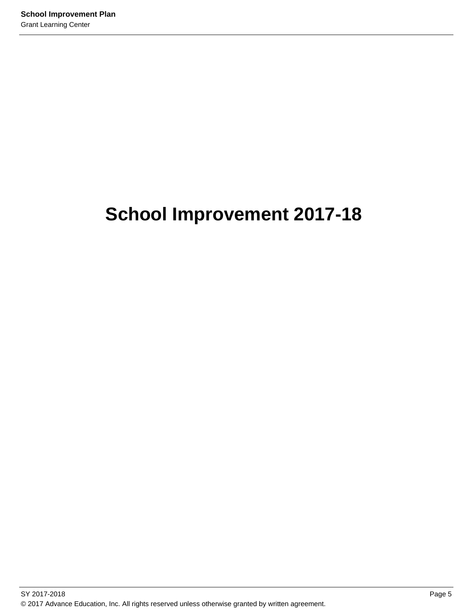# **School Improvement 2017-18**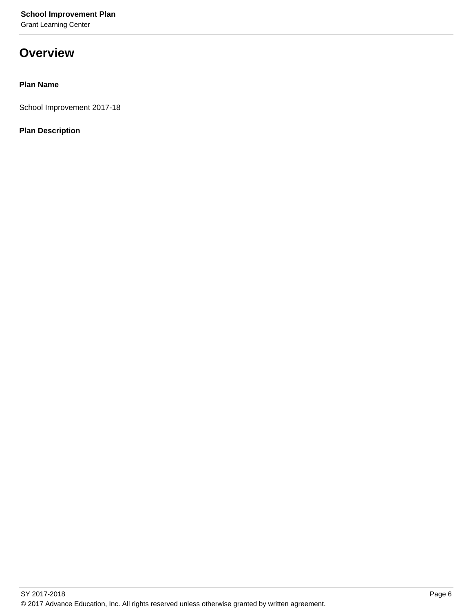Grant Learning Center

### **Overview**

### **Plan Name**

School Improvement 2017-18

### **Plan Description**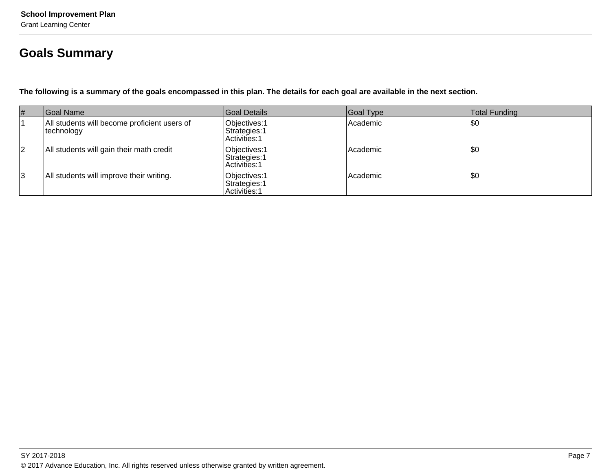## **Goals Summary**

**The following is a summary of the goals encompassed in this plan. The details for each goal are available in the next section.**

| #  | Goal Name                                                   | Goal Details                                    | Goal Type | Total Funding |
|----|-------------------------------------------------------------|-------------------------------------------------|-----------|---------------|
|    | All students will become proficient users of<br> technology | Objectives: 1<br>Strategies: 1<br>Activities: 1 | Academic  | \$0           |
| 12 | All students will gain their math credit                    | Objectives: 1<br>Strategies: 1<br>Activities: 1 | Academic  | \$0           |
| 3  | All students will improve their writing.                    | Objectives: 1<br>Strategies: 1<br>Activities: 1 | Academic  | \$0           |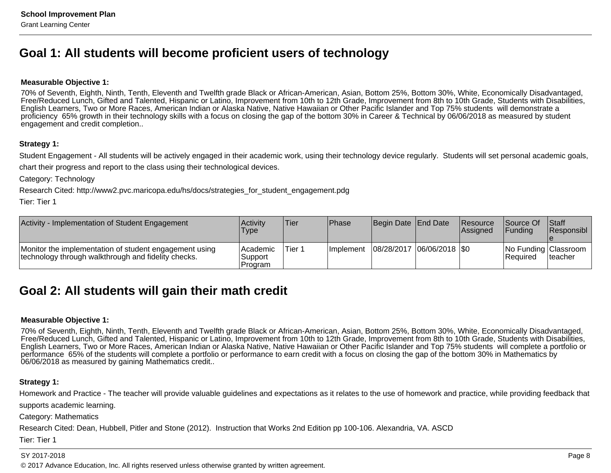### **Goal 1: All students will become proficient users of technology**

#### **Measurable Objective 1:**

70% of Seventh, Eighth, Ninth, Tenth, Eleventh and Twelfth grade Black or African-American, Asian, Bottom 25%, Bottom 30%, White, Economically Disadvantaged, Free/Reduced Lunch, Gifted and Talented, Hispanic or Latino, Improvement from 10th to 12th Grade, Improvement from 8th to 10th Grade, Students with Disabilities,English Learners, Two or More Races, American Indian or Alaska Native, Native Hawaiian or Other Pacific Islander and Top 75% students will demonstrate a proficiency 65% growth in their technology skills with a focus on closing the gap of the bottom 30% in Career & Technical by 06/06/2018 as measured by studentengagement and credit completion..

#### **Strategy 1:**

Student Engagement - All students will be actively engaged in their academic work, using their technology device regularly. Students will set personal academic goals,

chart their progress and report to the class using their technological devices.

Category: Technology

Research Cited: http://www2.pvc.maricopa.edu/hs/docs/strategies\_for\_student\_engagement.pdg

Tier: Tier 1

| Activity - Implementation of Student Engagement                                                               | Activitv<br>Type                  | <b>Tier</b> | Phase             | Begin Date End Date         | <b>Resource</b><br><b>Assianed</b> | <b>Source Of</b><br><b>IFundina</b> | <b>Staff</b><br><b>Responsibl</b> |
|---------------------------------------------------------------------------------------------------------------|-----------------------------------|-------------|-------------------|-----------------------------|------------------------------------|-------------------------------------|-----------------------------------|
| Monitor the implementation of student engagement using<br>technology through walkthrough and fidelity checks. | l Academic<br>Support<br>'Program | Tier 1      | <b>Ilmplement</b> | 08/28/2017  06/06/2018  \$0 |                                    | l Reauired                          | No Funding Classroom<br>Iteacher  |

### **Goal 2: All students will gain their math credit**

#### **Measurable Objective 1:**

70% of Seventh, Eighth, Ninth, Tenth, Eleventh and Twelfth grade Black or African-American, Asian, Bottom 25%, Bottom 30%, White, Economically Disadvantaged, Free/Reduced Lunch, Gifted and Talented, Hispanic or Latino, Improvement from 10th to 12th Grade, Improvement from 8th to 10th Grade, Students with Disabilities, English Learners, Two or More Races, American Indian or Alaska Native, Native Hawaiian or Other Pacific Islander and Top 75% students will complete a portfolio orperformance 65% of the students will complete a portfolio or performance to earn credit with a focus on closing the gap of the bottom 30% in Mathematics by06/06/2018 as measured by gaining Mathematics credit..

### **Strategy 1:**

Homework and Practice - The teacher will provide valuable guidelines and expectations as it relates to the use of homework and practice, while providing feedback that

supports academic learning.

Category: Mathematics

Research Cited: Dean, Hubbell, Pitler and Stone (2012). Instruction that Works 2nd Edition pp 100-106. Alexandria, VA. ASCD

Tier: Tier 1

#### SY 2017-2018

© 2017 Advance Education, Inc. All rights reserved unless otherwise granted by written agreement.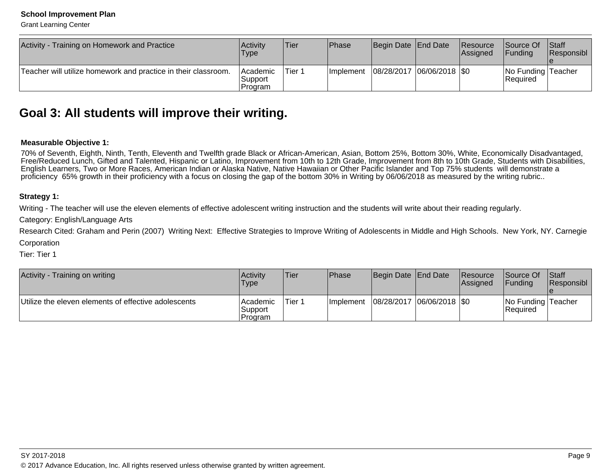#### **School Improvement Plan**

Grant Learning Center

| Activity - Training on Homework and Practice                   | Activity<br>Type                       | <b>Tier</b> | <b>IPhase</b>     | Begin Date End Date           | Resource<br>Assigned | <b>Source Of</b><br><b>IFunding</b> | <b>Staff</b><br>Responsibl |
|----------------------------------------------------------------|----------------------------------------|-------------|-------------------|-------------------------------|----------------------|-------------------------------------|----------------------------|
| Teacher will utilize homework and practice in their classroom. | <b>Academic</b><br> Support<br>Program | 'Tier 1     | <b>Ilmplement</b> | $ 08/28/2017 06/06/2018 $ \$0 |                      | No Funding Teacher<br>Required      |                            |

### **Goal 3: All students will improve their writing.**

#### **Measurable Objective 1:**

70% of Seventh, Eighth, Ninth, Tenth, Eleventh and Twelfth grade Black or African-American, Asian, Bottom 25%, Bottom 30%, White, Economically Disadvantaged, Free/Reduced Lunch, Gifted and Talented, Hispanic or Latino, Improvement from 10th to 12th Grade, Improvement from 8th to 10th Grade, Students with Disabilities,English Learners, Two or More Races, American Indian or Alaska Native, Native Hawaiian or Other Pacific Islander and Top 75% students will demonstrate aproficiency 65% growth in their proficiency with a focus on closing the gap of the bottom 30% in Writing by 06/06/2018 as measured by the writing rubric..

#### **Strategy 1:**

Writing - The teacher will use the eleven elements of effective adolescent writing instruction and the students will write about their reading regularly.

Category: English/Language Arts

Research Cited: Graham and Perin (2007) Writing Next: Effective Strategies to Improve Writing of Adolescents in Middle and High Schools. New York, NY. CarnegieCorporation

Tier: Tier 1

| Activity - Training on writing                       | Activity<br><b>Type</b>        | <b>Tier</b> | <b>Phase</b> | Begin Date End Date |                             | Resource<br><b>Assigned</b> | <b>Source Of</b><br><b>IFundina</b> | <b>Staff</b><br><b>Responsibl</b> |
|------------------------------------------------------|--------------------------------|-------------|--------------|---------------------|-----------------------------|-----------------------------|-------------------------------------|-----------------------------------|
| Utilize the eleven elements of effective adolescents | Academic<br>Support<br>Program | Tier 1      | Ilmplement   |                     | 08/28/2017  06/06/2018  \$0 |                             | No Funding Teacher<br>Required      |                                   |